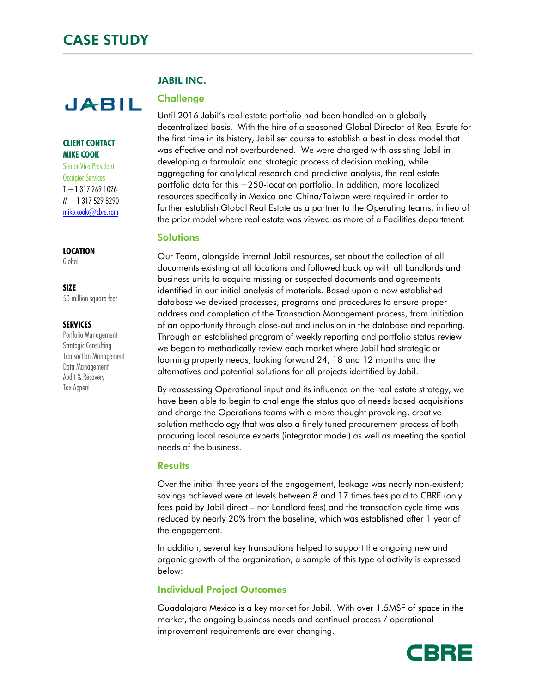# **JABIL**

## **CLIENT CONTACT MIKE COOK**

Senior Vice President Occupier Services  $T + 13172691026$ M +1 317 529 8290 mike.cook@cbre.com

## **LOCATION**

Global

### **SIZE**

50 million square feet

### **SERVICES**

Portfolio Management Strategic Consulting Transaction Management Data Management Audit & Recovery Tax Appeal

# JABIL INC.

# **Challenge**

Until 2016 Jabil's real estate portfolio had been handled on a globally decentralized basis. With the hire of a seasoned Global Director of Real Estate for the first time in its history, Jabil set course to establish a best in class model that was effective and not overburdened. We were charged with assisting Jabil in developing a formulaic and strategic process of decision making, while aggregating for analytical research and predictive analysis, the real estate portfolio data for this +250-location portfolio. In addition, more localized resources specifically in Mexico and China/Taiwan were required in order to further establish Global Real Estate as a partner to the Operating teams, in lieu of the prior model where real estate was viewed as more of a Facilities department.

# **Solutions**

Our Team, alongside internal Jabil resources, set about the collection of all documents existing at all locations and followed back up with all Landlords and business units to acquire missing or suspected documents and agreements identified in our initial analysis of materials. Based upon a now established database we devised processes, programs and procedures to ensure proper address and completion of the Transaction Management process, from initiation of an opportunity through close-out and inclusion in the database and reporting. Through an established program of weekly reporting and portfolio status review we began to methodically review each market where Jabil had strategic or looming property needs, looking forward 24, 18 and 12 months and the alternatives and potential solutions for all projects identified by Jabil.

By reassessing Operational input and its influence on the real estate strategy, we have been able to begin to challenge the status quo of needs based acquisitions and charge the Operations teams with a more thought provoking, creative solution methodology that was also a finely tuned procurement process of both procuring local resource experts (integrator model) as well as meeting the spatial needs of the business.

# **Results**

Over the initial three years of the engagement, leakage was nearly non-existent; savings achieved were at levels between 8 and 17 times fees paid to CBRE (only fees paid by Jabil direct – not Landlord fees) and the transaction cycle time was reduced by nearly 20% from the baseline, which was established after 1 year of the engagement.

In addition, several key transactions helped to support the ongoing new and organic growth of the organization, a sample of this type of activity is expressed below:

# Individual Project Outcomes

Guadalajara Mexico is a key market for Jabil. With over 1.5MSF of space in the market, the ongoing business needs and continual process / operational improvement requirements are ever changing.